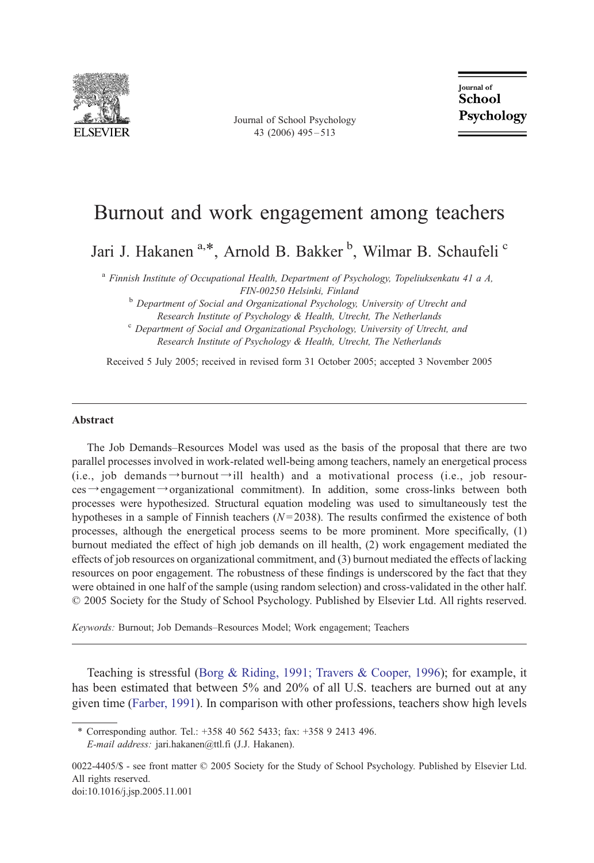

Journal of School Psychology 43 (2006) 495 – 513

**Journal** of School Psychology

# Burnout and work engagement among teachers

Jari J. Hakanen <sup>a,\*</sup>, Arnold B. Bakker <sup>b</sup>, Wilmar B. Schaufeli <sup>c</sup>

 $a$  Finnish Institute of Occupational Health, Department of Psychology, Topeliuksenkatu 41 a A,

FIN-00250 Helsinki, Finland<br><sup>b</sup> Department of Social and Organizational Psychology, University of Utrecht and Research Institute of Psychology & Health, Utrecht, The Netherlands<br><sup>c</sup> Department of Social and Organizational Psychology, University of Utrecht, and

Research Institute of Psychology & Health, Utrecht, The Netherlands

Received 5 July 2005; received in revised form 31 October 2005; accepted 3 November 2005

### Abstract

The Job Demands–Resources Model was used as the basis of the proposal that there are two parallel processes involved in work-related well-being among teachers, namely an energetical process (i.e., job demands  $\rightarrow$  burnout  $\rightarrow$  ill health) and a motivational process (i.e., job resour $ces \rightarrow engagement \rightarrow organizational commitment)$ . In addition, some cross-links between both processes were hypothesized. Structural equation modeling was used to simultaneously test the hypotheses in a sample of Finnish teachers  $(N=2038)$ . The results confirmed the existence of both processes, although the energetical process seems to be more prominent. More specifically, (1) burnout mediated the effect of high job demands on ill health, (2) work engagement mediated the effects of job resources on organizational commitment, and (3) burnout mediated the effects of lacking resources on poor engagement. The robustness of these findings is underscored by the fact that they were obtained in one half of the sample (using random selection) and cross-validated in the other half.  $\degree$  2005 Society for the Study of School Psychology. Published by Elsevier Ltd. All rights reserved.

Keywords: Burnout; Job Demands–Resources Model; Work engagement; Teachers

Teaching is stressful ([Borg & Riding, 1991; Travers & Cooper, 1996\)](#page-16-0); for example, it has been estimated that between 5% and 20% of all U.S. teachers are burned out at any given time ([Farber, 1991\)](#page-16-0). In comparison with other professions, teachers show high levels

<sup>\*</sup> Corresponding author. Tel.: +358 40 562 5433; fax: +358 9 2413 496. E-mail address: jari.hakanen@ttl.fi (J.J. Hakanen).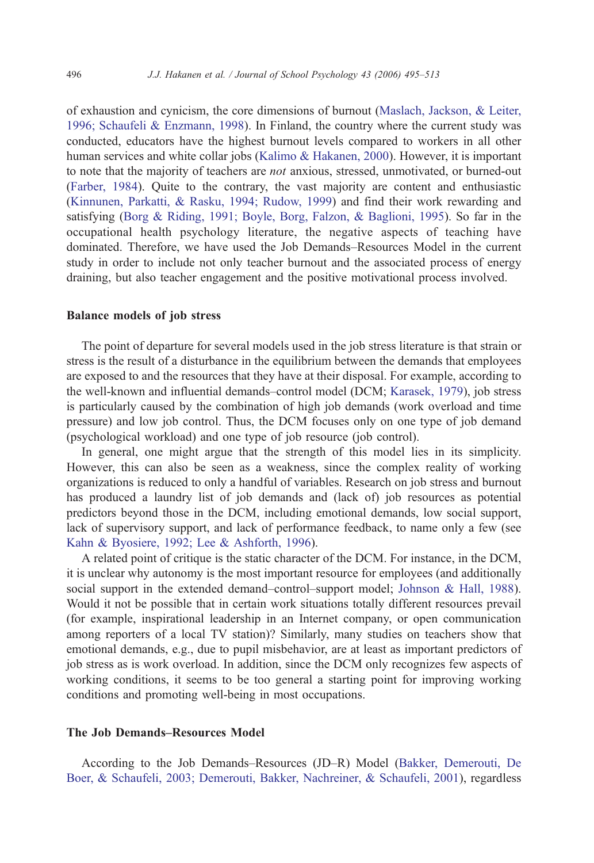of exhaustion and cynicism, the core dimensions of burnout ([Maslach, Jackson, & Leiter,](#page-18-0) 1996; Schaufeli & Enzmann, 1998). In Finland, the country where the current study was conducted, educators have the highest burnout levels compared to workers in all other human services and white collar jobs ([Kalimo & Hakanen, 2000\)](#page-17-0). However, it is important to note that the majority of teachers are not anxious, stressed, unmotivated, or burned-out ([Farber, 1984\)](#page-16-0). Quite to the contrary, the vast majority are content and enthusiastic ([Kinnunen, Parkatti, & Rasku, 1994; Rudow, 1999\)](#page-17-0) and find their work rewarding and satisfying ([Borg & Riding, 1991; Boyle, Borg, Falzon, & Baglioni, 1995\)](#page-16-0). So far in the occupational health psychology literature, the negative aspects of teaching have dominated. Therefore, we have used the Job Demands–Resources Model in the current study in order to include not only teacher burnout and the associated process of energy draining, but also teacher engagement and the positive motivational process involved.

#### Balance models of job stress

The point of departure for several models used in the job stress literature is that strain or stress is the result of a disturbance in the equilibrium between the demands that employees are exposed to and the resources that they have at their disposal. For example, according to the well-known and influential demands–control model (DCM; [Karasek, 1979\)](#page-17-0), job stress is particularly caused by the combination of high job demands (work overload and time pressure) and low job control. Thus, the DCM focuses only on one type of job demand (psychological workload) and one type of job resource (job control).

In general, one might argue that the strength of this model lies in its simplicity. However, this can also be seen as a weakness, since the complex reality of working organizations is reduced to only a handful of variables. Research on job stress and burnout has produced a laundry list of job demands and (lack of) job resources as potential predictors beyond those in the DCM, including emotional demands, low social support, lack of supervisory support, and lack of performance feedback, to name only a few (see [Kahn & Byosiere, 1992; Lee & Ashforth, 1996\)](#page-17-0).

A related point of critique is the static character of the DCM. For instance, in the DCM, it is unclear why autonomy is the most important resource for employees (and additionally social support in the extended demand–control–support model; [Johnson & Hall, 1988\)](#page-17-0). Would it not be possible that in certain work situations totally different resources prevail (for example, inspirational leadership in an Internet company, or open communication among reporters of a local TV station)? Similarly, many studies on teachers show that emotional demands, e.g., due to pupil misbehavior, are at least as important predictors of job stress as is work overload. In addition, since the DCM only recognizes few aspects of working conditions, it seems to be too general a starting point for improving working conditions and promoting well-being in most occupations.

## The Job Demands–Resources Model

According to the Job Demands–Resources (JD–R) Model ([Bakker, Demerouti, De](#page-15-0) Boer, & Schaufeli, 2003; Demerouti, Bakker, Nachreiner, & Schaufeli, 2001), regardless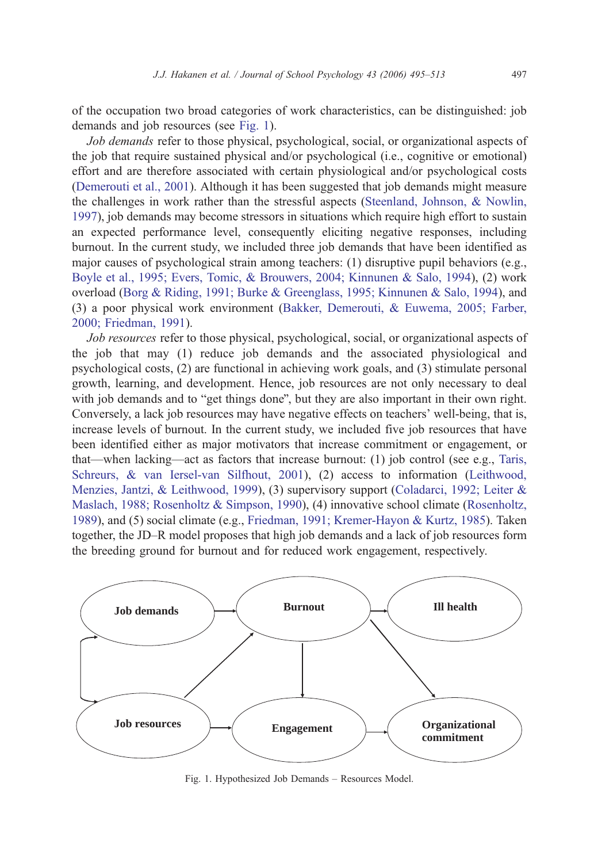<span id="page-2-0"></span>of the occupation two broad categories of work characteristics, can be distinguished: job demands and job resources (see Fig. 1).

Job demands refer to those physical, psychological, social, or organizational aspects of the job that require sustained physical and/or psychological (i.e., cognitive or emotional) effort and are therefore associated with certain physiological and/or psychological costs ([Demerouti et al., 2001\)](#page-16-0). Although it has been suggested that job demands might measure the challenges in work rather than the stressful aspects ([Steenland, Johnson, & Nowlin,](#page-18-0) 1997), job demands may become stressors in situations which require high effort to sustain an expected performance level, consequently eliciting negative responses, including burnout. In the current study, we included three job demands that have been identified as major causes of psychological strain among teachers: (1) disruptive pupil behaviors (e.g., [Boyle et al., 1995; Evers, Tomic, & Brouwers, 2004; Kinnunen & Salo, 1994\)](#page-16-0), (2) work overload [\(Borg & Riding, 1991; Burke & Greenglass, 1995; Kinnunen & Salo, 1994\)](#page-16-0), and (3) a poor physical work environment ([Bakker, Demerouti, & Euwema, 2005; Farber,](#page-15-0) 2000; Friedman, 1991).

Job resources refer to those physical, psychological, social, or organizational aspects of the job that may (1) reduce job demands and the associated physiological and psychological costs, (2) are functional in achieving work goals, and (3) stimulate personal growth, learning, and development. Hence, job resources are not only necessary to deal with job demands and to "get things done", but they are also important in their own right. Conversely, a lack job resources may have negative effects on teachers' well-being, that is, increase levels of burnout. In the current study, we included five job resources that have been identified either as major motivators that increase commitment or engagement, or that—when lacking—act as factors that increase burnout: (1) job control (see e.g., [Taris,](#page-18-0) Schreurs, & van Iersel-van Silfhout, 2001), (2) access to information ([Leithwood,](#page-17-0) Menzies, Jantzi, & Leithwood, 1999), (3) supervisory support ([Coladarci, 1992; Leiter &](#page-16-0) Maslach, 1988; Rosenholtz & Simpson, 1990), (4) innovative school climate ([Rosenholtz,](#page-18-0) 1989), and (5) social climate (e.g., [Friedman, 1991; Kremer-Hayon & Kurtz, 1985\)](#page-16-0). Taken together, the JD–R model proposes that high job demands and a lack of job resources form the breeding ground for burnout and for reduced work engagement, respectively.



Fig. 1. Hypothesized Job Demands – Resources Model.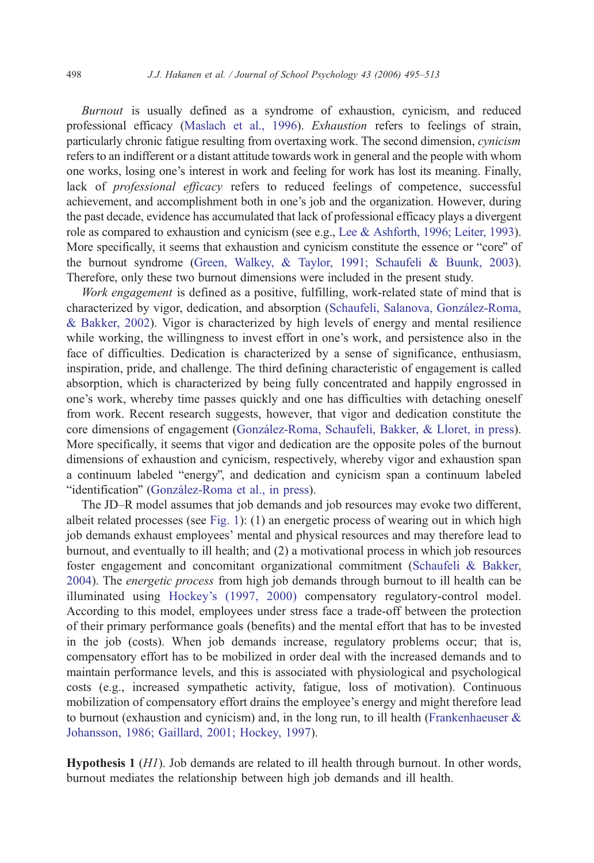Burnout is usually defined as a syndrome of exhaustion, cynicism, and reduced professional efficacy ([Maslach et al., 1996\)](#page-18-0). Exhaustion refers to feelings of strain, particularly chronic fatigue resulting from overtaxing work. The second dimension, cynicism refers to an indifferent or a distant attitude towards work in general and the people with whom one works, losing one's interest in work and feeling for work has lost its meaning. Finally, lack of *professional efficacy* refers to reduced feelings of competence, successful achievement, and accomplishment both in one's job and the organization. However, during the past decade, evidence has accumulated that lack of professional efficacy plays a divergent role as compared to exhaustion and cynicism (see e.g., [Lee & Ashforth, 1996; Leiter, 1993\)](#page-17-0). More specifically, it seems that exhaustion and cynicism constitute the essence or "core" of the burnout syndrome ([Green, Walkey, & Taylor, 1991; Schaufeli & Buunk, 2003\)](#page-16-0). Therefore, only these two burnout dimensions were included in the present study.

Work engagement is defined as a positive, fulfilling, work-related state of mind that is characterized by vigor, dedication, and absorption (Schaufeli, Salanova, González-Roma, & Bakker, 2002). Vigor is characterized by high levels of energy and mental resilience while working, the willingness to invest effort in one's work, and persistence also in the face of difficulties. Dedication is characterized by a sense of significance, enthusiasm, inspiration, pride, and challenge. The third defining characteristic of engagement is called absorption, which is characterized by being fully concentrated and happily engrossed in one's work, whereby time passes quickly and one has difficulties with detaching oneself from work. Recent research suggests, however, that vigor and dedication constitute the core dimensions of engagement (González-Roma, Schaufeli, Bakker, & Lloret, in press). More specifically, it seems that vigor and dedication are the opposite poles of the burnout dimensions of exhaustion and cynicism, respectively, whereby vigor and exhaustion span a continuum labeled "energy", and dedication and cynicism span a continuum labeled "identification" (González-Roma et al., in press).

The JD–R model assumes that job demands and job resources may evoke two different, albeit related processes (see [Fig. 1\)](#page-2-0): (1) an energetic process of wearing out in which high job demands exhaust employees' mental and physical resources and may therefore lead to burnout, and eventually to ill health; and (2) a motivational process in which job resources foster engagement and concomitant organizational commitment ([Schaufeli & Bakker,](#page-18-0) 2004). The *energetic process* from high job demands through burnout to ill health can be illuminated using [Hockey's \(1997, 2000\)](#page-17-0) compensatory regulatory-control model. According to this model, employees under stress face a trade-off between the protection of their primary performance goals (benefits) and the mental effort that has to be invested in the job (costs). When job demands increase, regulatory problems occur; that is, compensatory effort has to be mobilized in order deal with the increased demands and to maintain performance levels, and this is associated with physiological and psychological costs (e.g., increased sympathetic activity, fatigue, loss of motivation). Continuous mobilization of compensatory effort drains the employee's energy and might therefore lead to burnout (exhaustion and cynicism) and, in the long run, to ill health (Frankenhaeuser  $\&$ Johansson, 1986; Gaillard, 2001; Hockey, 1997).

Hypothesis 1 (H1). Job demands are related to ill health through burnout. In other words, burnout mediates the relationship between high job demands and ill health.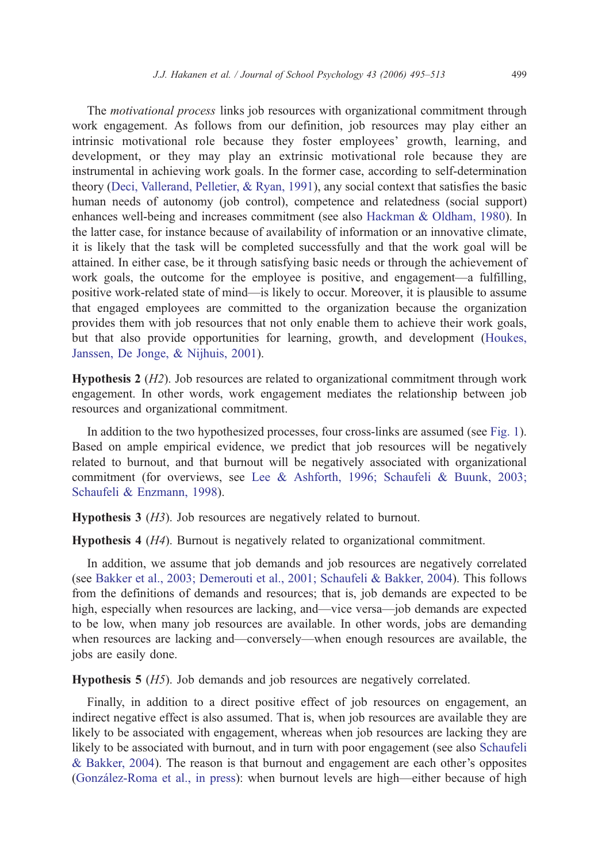The *motivational process* links job resources with organizational commitment through work engagement. As follows from our definition, job resources may play either an intrinsic motivational role because they foster employees' growth, learning, and development, or they may play an extrinsic motivational role because they are instrumental in achieving work goals. In the former case, according to self-determination theory ([Deci, Vallerand, Pelletier, & Ryan, 1991\)](#page-16-0), any social context that satisfies the basic human needs of autonomy (job control), competence and relatedness (social support) enhances well-being and increases commitment (see also [Hackman & Oldham, 1980\)](#page-16-0). In the latter case, for instance because of availability of information or an innovative climate, it is likely that the task will be completed successfully and that the work goal will be attained. In either case, be it through satisfying basic needs or through the achievement of work goals, the outcome for the employee is positive, and engagement—a fulfilling, positive work-related state of mind—is likely to occur. Moreover, it is plausible to assume that engaged employees are committed to the organization because the organization provides them with job resources that not only enable them to achieve their work goals, but that also provide opportunities for learning, growth, and development ([Houkes,](#page-17-0) Janssen, De Jonge, & Nijhuis, 2001).

Hypothesis 2 (H2). Job resources are related to organizational commitment through work engagement. In other words, work engagement mediates the relationship between job resources and organizational commitment.

In addition to the two hypothesized processes, four cross-links are assumed (see [Fig. 1\)](#page-2-0). Based on ample empirical evidence, we predict that job resources will be negatively related to burnout, and that burnout will be negatively associated with organizational commitment (for overviews, see [Lee & Ashforth, 1996; Schaufeli & Buunk, 2003;](#page-17-0) Schaufeli & Enzmann, 1998).

Hypothesis 3 (H3). Job resources are negatively related to burnout.

Hypothesis 4 (H4). Burnout is negatively related to organizational commitment.

In addition, we assume that job demands and job resources are negatively correlated (see [Bakker et al., 2003; Demerouti et al., 2001; Schaufeli & Bakker, 2004\)](#page-15-0). This follows from the definitions of demands and resources; that is, job demands are expected to be high, especially when resources are lacking, and—vice versa—job demands are expected to be low, when many job resources are available. In other words, jobs are demanding when resources are lacking and—conversely—when enough resources are available, the jobs are easily done.

Hypothesis 5 (*H5*). Job demands and job resources are negatively correlated.

Finally, in addition to a direct positive effect of job resources on engagement, an indirect negative effect is also assumed. That is, when job resources are available they are likely to be associated with engagement, whereas when job resources are lacking they are likely to be associated with burnout, and in turn with poor engagement (see also [Schaufeli](#page-18-0) & Bakker, 2004). The reason is that burnout and engagement are each other's opposites (González-Roma et al., in press): when burnout levels are high—either because of high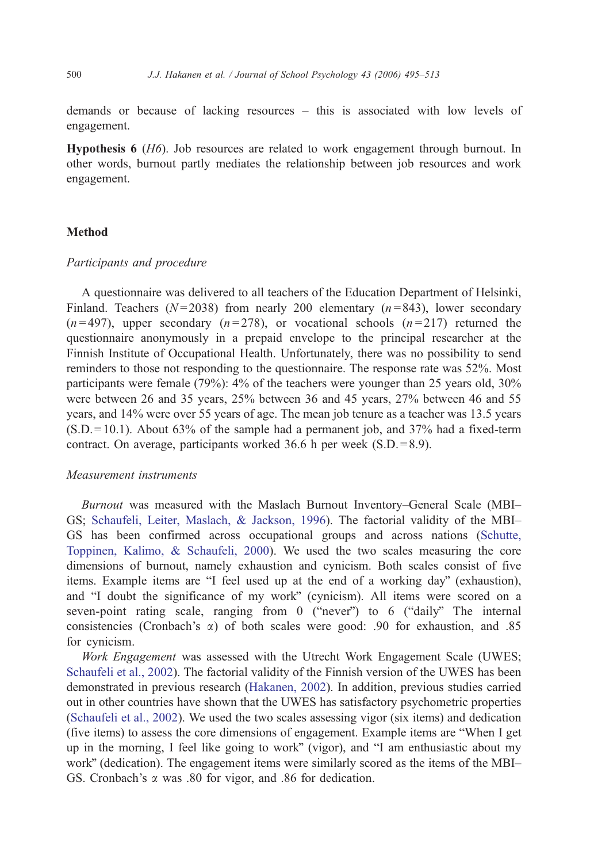demands or because of lacking resources – this is associated with low levels of engagement.

Hypothesis 6 (H6). Job resources are related to work engagement through burnout. In other words, burnout partly mediates the relationship between job resources and work engagement.

#### Method

### Participants and procedure

A questionnaire was delivered to all teachers of the Education Department of Helsinki, Finland. Teachers ( $N=2038$ ) from nearly 200 elementary ( $n=843$ ), lower secondary  $(n=497)$ , upper secondary  $(n=278)$ , or vocational schools  $(n=217)$  returned the questionnaire anonymously in a prepaid envelope to the principal researcher at the Finnish Institute of Occupational Health. Unfortunately, there was no possibility to send reminders to those not responding to the questionnaire. The response rate was 52%. Most participants were female (79%): 4% of the teachers were younger than 25 years old, 30% were between 26 and 35 years, 25% between 36 and 45 years, 27% between 46 and 55 years, and 14% were over 55 years of age. The mean job tenure as a teacher was 13.5 years  $(S.D. = 10.1)$ . About 63% of the sample had a permanent job, and 37% had a fixed-term contract. On average, participants worked  $36.6$  h per week (S.D. = 8.9).

#### Measurement instruments

Burnout was measured with the Maslach Burnout Inventory–General Scale (MBI– GS; [Schaufeli, Leiter, Maslach, & Jackson, 1996\)](#page-18-0). The factorial validity of the MBI– GS has been confirmed across occupational groups and across nations ([Schutte,](#page-18-0) Toppinen, Kalimo, & Schaufeli, 2000). We used the two scales measuring the core dimensions of burnout, namely exhaustion and cynicism. Both scales consist of five items. Example items are "I feel used up at the end of a working day" (exhaustion), and "I doubt the significance of my work" (cynicism). All items were scored on a seven-point rating scale, ranging from 0 ("never") to 6 ("daily" The internal consistencies (Cronbach's  $\alpha$ ) of both scales were good: .90 for exhaustion, and .85 for cynicism.

Work Engagement was assessed with the Utrecht Work Engagement Scale (UWES; [Schaufeli et al., 2002\)](#page-18-0). The factorial validity of the Finnish version of the UWES has been demonstrated in previous research ([Hakanen, 2002\)](#page-16-0). In addition, previous studies carried out in other countries have shown that the UWES has satisfactory psychometric properties ([Schaufeli et al., 2002\)](#page-18-0). We used the two scales assessing vigor (six items) and dedication (five items) to assess the core dimensions of engagement. Example items are "When I get up in the morning, I feel like going to work" (vigor), and  $\lq$  am enthusiastic about my work" (dedication). The engagement items were similarly scored as the items of the MBI– GS. Cronbach's  $\alpha$  was .80 for vigor, and .86 for dedication.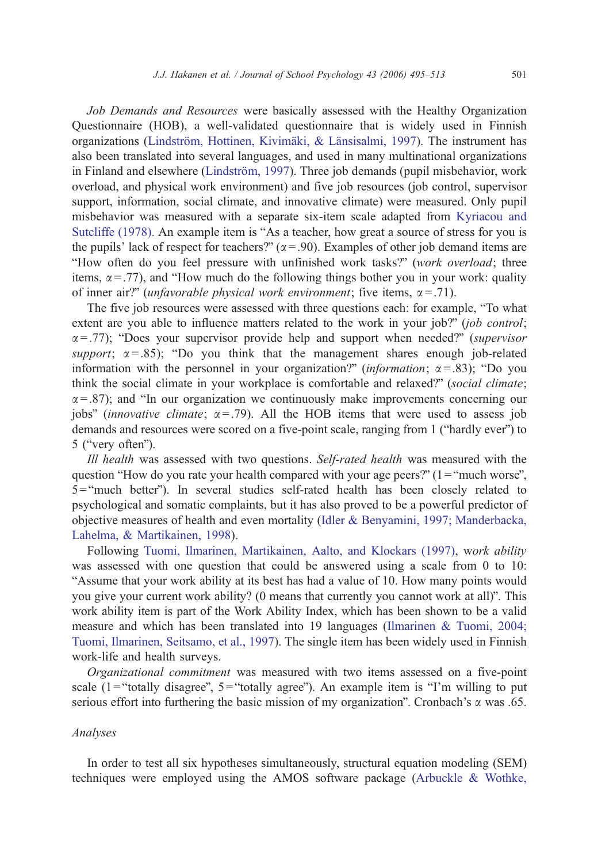Job Demands and Resources were basically assessed with the Healthy Organization Questionnaire (HOB), a well-validated questionnaire that is widely used in Finnish organizations (Lindström, Hottinen, Kivimäki, & Länsisalmi, 1997). The instrument has also been translated into several languages, and used in many multinational organizations in Finland and elsewhere (Lindström, 1997). Three job demands (pupil misbehavior, work overload, and physical work environment) and five job resources (job control, supervisor support, information, social climate, and innovative climate) were measured. Only pupil misbehavior was measured with a separate six-item scale adapted from [Kyriacou and](#page-17-0) Sutcliffe  $(1978)$ . An example item is "As a teacher, how great a source of stress for you is the pupils' lack of respect for teachers?"  $(\alpha = .90)$ . Examples of other job demand items are "How often do you feel pressure with unfinished work tasks?" (work overload; three items,  $\alpha = .77$ ), and "How much do the following things bother you in your work: quality of inner air?" (*unfavorable physical work environment*; five items,  $\alpha = .71$ ).

The five job resources were assessed with three questions each: for example, "To what extent are you able to influence matters related to the work in your job?" (*job control*;  $\alpha$  = .77); "Does your supervisor provide help and support when needed?" (supervisor support;  $\alpha = .85$ ; "Do you think that the management shares enough job-related information with the personnel in your organization?" (*information*;  $\alpha = .83$ ); "Do you think the social climate in your workplace is comfortable and relaxed?" (social climate;  $\alpha$  =.87); and "In our organization we continuously make improvements concerning our jobs" (innovative climate;  $\alpha = .79$ ). All the HOB items that were used to assess job demands and resources were scored on a five-point scale, ranging from 1 ("hardly ever") to  $5$  ("very often").

Ill health was assessed with two questions. Self-rated health was measured with the question "How do you rate your health compared with your age peers?"  $(1 = \text{``much worse''},$  $5 =$ "much better"). In several studies self-rated health has been closely related to psychological and somatic complaints, but it has also proved to be a powerful predictor of objective measures of health and even mortality ([Idler & Benyamini, 1997; Manderbacka,](#page-17-0) Lahelma, & Martikainen, 1998).

Following [Tuomi, Ilmarinen, Martikainen, Aalto, and Klockars \(1997\),](#page-18-0) work ability was assessed with one question that could be answered using a scale from 0 to 10: "Assume that your work ability at its best has had a value of 10. How many points would you give your current work ability? (0 means that currently you cannot work at all)". This work ability item is part of the Work Ability Index, which has been shown to be a valid measure and which has been translated into 19 languages ([Ilmarinen & Tuomi, 2004;](#page-17-0) Tuomi, Ilmarinen, Seitsamo, et al., 1997). The single item has been widely used in Finnish work-life and health surveys.

Organizational commitment was measured with two items assessed on a five-point scale (1="totally disagree", 5="totally agree"). An example item is "I'm willing to put serious effort into furthering the basic mission of my organization". Cronbach's  $\alpha$  was .65.

#### Analyses

In order to test all six hypotheses simultaneously, structural equation modeling (SEM) techniques were employed using the AMOS software package ([Arbuckle & Wothke,](#page-15-0)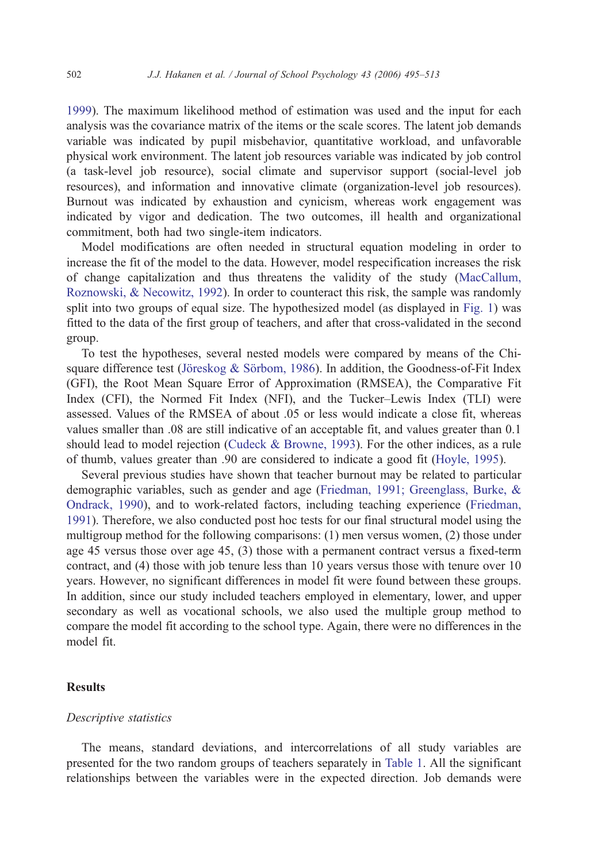1999). The maximum likelihood method of estimation was used and the input for each analysis was the covariance matrix of the items or the scale scores. The latent job demands variable was indicated by pupil misbehavior, quantitative workload, and unfavorable physical work environment. The latent job resources variable was indicated by job control (a task-level job resource), social climate and supervisor support (social-level job resources), and information and innovative climate (organization-level job resources). Burnout was indicated by exhaustion and cynicism, whereas work engagement was indicated by vigor and dedication. The two outcomes, ill health and organizational commitment, both had two single-item indicators.

Model modifications are often needed in structural equation modeling in order to increase the fit of the model to the data. However, model respecification increases the risk of change capitalization and thus threatens the validity of the study ([MacCallum,](#page-18-0) Roznowski, & Necowitz, 1992). In order to counteract this risk, the sample was randomly split into two groups of equal size. The hypothesized model (as displayed in [Fig. 1\)](#page-2-0) was fitted to the data of the first group of teachers, and after that cross-validated in the second group.

To test the hypotheses, several nested models were compared by means of the Chisquare difference test (Jöreskog & Sörbom, 1986). In addition, the Goodness-of-Fit Index (GFI), the Root Mean Square Error of Approximation (RMSEA), the Comparative Fit Index (CFI), the Normed Fit Index (NFI), and the Tucker–Lewis Index (TLI) were assessed. Values of the RMSEA of about .05 or less would indicate a close fit, whereas values smaller than .08 are still indicative of an acceptable fit, and values greater than 0.1 should lead to model rejection ([Cudeck & Browne, 1993\)](#page-16-0). For the other indices, as a rule of thumb, values greater than .90 are considered to indicate a good fit ([Hoyle, 1995\)](#page-17-0).

Several previous studies have shown that teacher burnout may be related to particular demographic variables, such as gender and age ([Friedman, 1991; Greenglass, Burke, &](#page-16-0) Ondrack, 1990), and to work-related factors, including teaching experience ([Friedman,](#page-16-0) 1991). Therefore, we also conducted post hoc tests for our final structural model using the multigroup method for the following comparisons: (1) men versus women, (2) those under age 45 versus those over age 45, (3) those with a permanent contract versus a fixed-term contract, and (4) those with job tenure less than 10 years versus those with tenure over 10 years. However, no significant differences in model fit were found between these groups. In addition, since our study included teachers employed in elementary, lower, and upper secondary as well as vocational schools, we also used the multiple group method to compare the model fit according to the school type. Again, there were no differences in the model fit.

## **Results**

## Descriptive statistics

The means, standard deviations, and intercorrelations of all study variables are presented for the two random groups of teachers separately in [Table 1.](#page-8-0) All the significant relationships between the variables were in the expected direction. Job demands were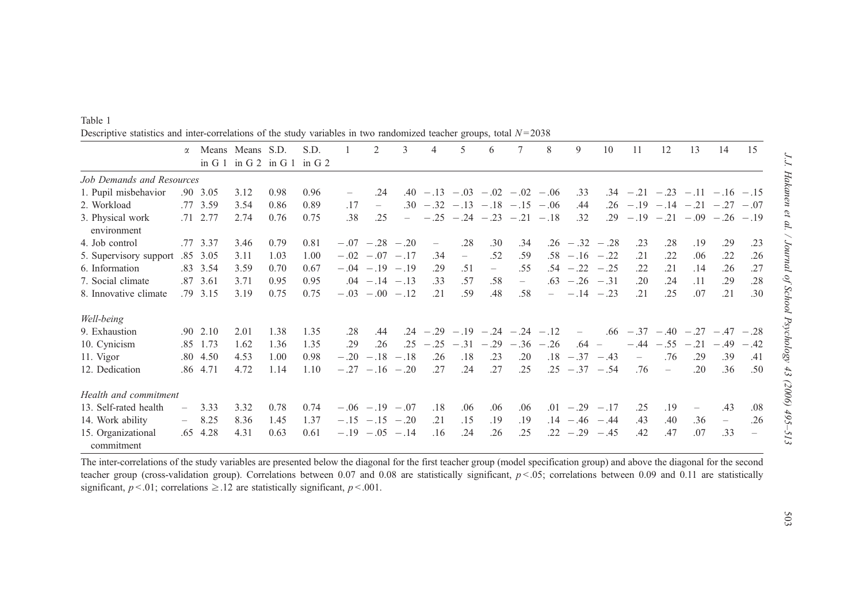<span id="page-8-0"></span>Table 1Descriptive statistics and inter-correlations of the study variables in two randomized teacher groups, total  $N = 2038$ 

|                                  | $\alpha$                 |                 | Means Means S.D.                    |      | S.D. |        | $\overline{2}$           | 3                        | $\overline{4}$                      | 5                        | 6                        | 7                                  | 8   | 9                               | 10     | 11                                  | 12                       | 13  | 14                       | 15     |
|----------------------------------|--------------------------|-----------------|-------------------------------------|------|------|--------|--------------------------|--------------------------|-------------------------------------|--------------------------|--------------------------|------------------------------------|-----|---------------------------------|--------|-------------------------------------|--------------------------|-----|--------------------------|--------|
|                                  |                          |                 | in $G_1$ in $G_2$ in $G_1$ in $G_2$ |      |      |        |                          |                          |                                     |                          |                          |                                    |     |                                 |        |                                     |                          |     |                          |        |
| Job Demands and Resources        |                          |                 |                                     |      |      |        |                          |                          |                                     |                          |                          |                                    |     |                                 |        |                                     |                          |     |                          |        |
| 1. Pupil misbehavior             |                          | $.90\quad 3.05$ | 3.12                                | 0.98 | 0.96 |        | .24                      | .40 <sub>1</sub>         | $-.13$ $-.03$ $-.02$ $-.02$ $-.06$  |                          |                          |                                    |     | .33                             |        | $.34 - .21 - .23 - .11 - .16 - .15$ |                          |     |                          |        |
| 2. Workload                      |                          | .77 3.59        | 3.54                                | 0.86 | 0.89 | .17    | $\overline{\phantom{0}}$ |                          | $.30 - .32 - .13 - .18 - .15 - .06$ |                          |                          |                                    |     | .44                             |        | $.26 - .19 - .14 - .21 - .27 - .07$ |                          |     |                          |        |
| 3. Physical work<br>environment  |                          | .71 2.77        | 2.74                                | 0.76 | 0.75 | .38    | .25                      | $\overline{\phantom{0}}$ |                                     |                          |                          | $-.25$ $-.24$ $-.23$ $-.21$ $-.18$ |     | .32                             | .29    | $-.19$ $-.21$ $-.09$ $-.26$ $-.19$  |                          |     |                          |        |
| 4. Job control                   |                          | .77 3.37        | 3.46                                | 0.79 | 0.81 |        | $-.07$ $-.28$ $-.20$     |                          | $\overline{\phantom{m}}$            | .28                      | .30                      | .34                                |     | $.26 - .32 - .28$               |        | .23                                 | .28                      | .19 | .29                      | .23    |
| 5. Supervisory support           | .85                      | 3.05            | 3.11                                | 1.03 | 1.00 | $-.02$ | $-.07-.17$               |                          | .34                                 | $\overline{\phantom{0}}$ | .52                      | .59                                | .58 | $-.16 - .22$                    |        | .21                                 | .22                      | .06 | .22                      | .26    |
| 6. Information                   |                          | .83 3.54        | 3.59                                | 0.70 | 0.67 |        | $-.04$ $-.19$ $-.19$     |                          | .29                                 | .51                      | $\overline{\phantom{a}}$ | .55                                |     | $.54 - .22$                     | $-.25$ | .22                                 | .21                      | .14 | .26                      | .27    |
| 7. Social climate                | .87                      | 3.61            | 3.71                                | 0.95 | 0.95 |        | $.04 - .14 - .13$        |                          | .33                                 | .57                      | .58                      | $\overline{\phantom{0}}$           | .63 | $-.26 - .31$                    |        | .20                                 | .24                      | .11 | .29                      | .28    |
| 8. Innovative climate            |                          | .79 3.15        | 3.19                                | 0.75 | 0.75 |        | $-.03$ $-.00$ $-.12$     |                          | .21                                 | .59                      | .48                      | .58                                | $-$ | $-.14 - .23$                    |        | .21                                 | .25                      | .07 | .21                      | .30    |
| Well-being                       |                          |                 |                                     |      |      |        |                          |                          |                                     |                          |                          |                                    |     |                                 |        |                                     |                          |     |                          |        |
| 9. Exhaustion                    |                          | $.90\quad2.10$  | 2.01                                | 1.38 | 1.35 | .28    | .44                      | .24                      | $-.29$ $-.19$ $-.24$ $-.24$ $-.12$  |                          |                          |                                    |     | $\hspace{0.1mm}-\hspace{0.1mm}$ |        | $.66 - .37 - .40 - .27 - .47 - .28$ |                          |     |                          |        |
| 10. Cynicism                     | .85                      | 1.73            | 1.62                                | 1.36 | 1.35 | .29    | .26                      | .25                      | $-.25$ $-.31$ $-.29$ $-.36$ $-.26$  |                          |                          |                                    |     | $.64 -$                         |        | $-.44$                              | $-.55 - .21 - .49$       |     |                          | $-.42$ |
| 11. Vigor                        | .80                      | 4.50            | 4.53                                | 1.00 | 0.98 | $-.20$ | $-.18$                   | $-.18$                   | .26                                 | .18                      | .23                      | .20 <sub>2</sub>                   | .18 | $-.37$                          | $-.43$ | $\overline{\phantom{0}}$            | .76                      | .29 | .39                      | .41    |
| 12. Dedication                   | .86                      | 4.71            | 4.72                                | 1.14 | 1.10 | $-.27$ | $-.16 - .20$             |                          | .27                                 | .24                      | .27                      | .25                                | .25 | $-.37$                          | $-.54$ | .76                                 | $\overline{\phantom{0}}$ | .20 | .36                      | .50    |
| Health and commitment            |                          |                 |                                     |      |      |        |                          |                          |                                     |                          |                          |                                    |     |                                 |        |                                     |                          |     |                          |        |
| 13. Self-rated health            | $\overline{\phantom{m}}$ | 3.33            | 3.32                                | 0.78 | 0.74 |        | $-.06$ $-.19$ $-.07$     |                          | .18                                 | .06                      | .06                      | .06                                | .01 | $-.29$                          | $-.17$ | .25                                 | .19                      |     | .43                      | .08    |
| 14. Work ability                 | $\overline{\phantom{0}}$ | 8.25            | 8.36                                | 1.45 | 1.37 |        | $-.15$ $-.15$ $-.20$     |                          | .21                                 | .15                      | .19                      | .19                                |     | $.14 - .46$                     | $-.44$ | .43                                 | .40                      | .36 | $\overline{\phantom{m}}$ | .26    |
| 15. Organizational<br>commitment | .65                      | 4.28            | 4.31                                | 0.63 | 0.61 | $-.19$ | $-.05 - .14$             |                          | .16                                 | .24                      | .26                      | .25                                | .22 | $-.29$                          | $-.45$ | .42                                 | .47                      | .07 | .33                      |        |

The inter-correlations of the study variables are presented below the diagonal for the first teacher group (model specification group) and above the diagonal for the second teacher group (cross-validation group). Correlations between 0.07 and 0.08 are statistically significant,  $p < 0.05$ ; correlations between 0.09 and 0.11 are statistically significant,  $p < 01$ ; correlations  $\geq 0.12$  are statistically significant,  $p < 0.01$ .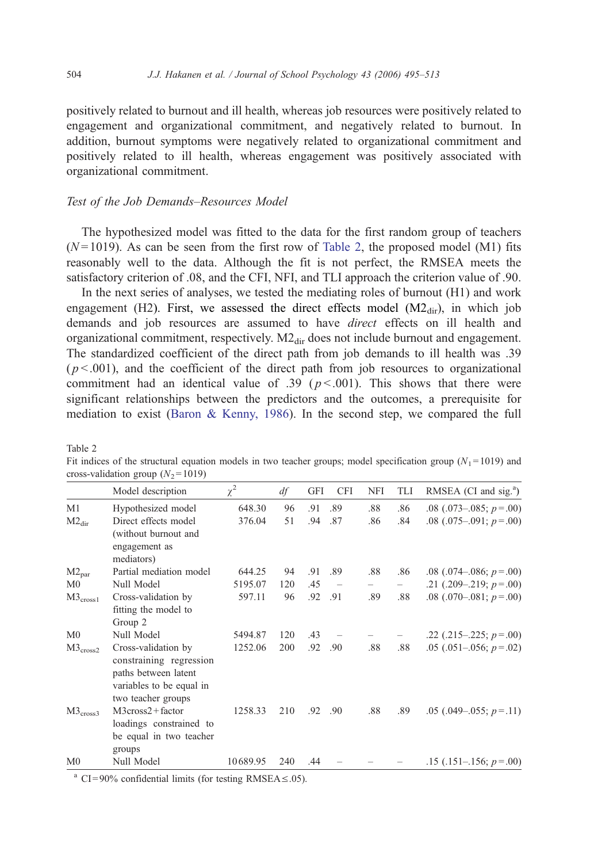<span id="page-9-0"></span>positively related to burnout and ill health, whereas job resources were positively related to engagement and organizational commitment, and negatively related to burnout. In addition, burnout symptoms were negatively related to organizational commitment and positively related to ill health, whereas engagement was positively associated with organizational commitment.

#### Test of the Job Demands–Resources Model

The hypothesized model was fitted to the data for the first random group of teachers  $(N=1019)$ . As can be seen from the first row of Table 2, the proposed model (M1) fits reasonably well to the data. Although the fit is not perfect, the RMSEA meets the satisfactory criterion of .08, and the CFI, NFI, and TLI approach the criterion value of .90.

In the next series of analyses, we tested the mediating roles of burnout (H1) and work engagement (H2). First, we assessed the direct effects model  $(M2_{\text{dir}})$ , in which job demands and job resources are assumed to have direct effects on ill health and organizational commitment, respectively. M2<sub>dir</sub> does not include burnout and engagement. The standardized coefficient of the direct path from job demands to ill health was .39  $(p<.001)$ , and the coefficient of the direct path from job resources to organizational commitment had an identical value of .39 ( $p < .001$ ). This shows that there were significant relationships between the predictors and the outcomes, a prerequisite for mediation to exist ([Baron & Kenny, 1986\)](#page-16-0). In the second step, we compared the full

|                   | Model description        | $\chi^2$ | df  | GFI     | <b>CFI</b>               | NFI | TLI | RMSEA (CI and sig. $a$ )     |
|-------------------|--------------------------|----------|-----|---------|--------------------------|-----|-----|------------------------------|
| M1                | Hypothesized model       | 648.30   | 96  | .91     | .89                      | .88 | .86 | .08 $(.073 - .085; p = .00)$ |
| $M2_{\text{dir}}$ | Direct effects model     | 376.04   | 51  | .94     | .87                      | .86 | .84 | .08 $(.075-.091; p=.00)$     |
|                   | (without burnout and     |          |     |         |                          |     |     |                              |
|                   | engagement as            |          |     |         |                          |     |     |                              |
|                   | mediators)               |          |     |         |                          |     |     |                              |
| $M2_{\text{par}}$ | Partial mediation model  | 644.25   | 94  | .91     | .89                      | .88 | .86 | .08 $(.074-.086; p=.00)$     |
| M <sub>0</sub>    | Null Model               | 5195.07  | 120 | .45     | $\overline{\phantom{a}}$ |     |     | .21 (.209–.219; $p = .00$ )  |
| $\rm M3_{cross1}$ | Cross-validation by      | 597.11   | 96  | .92     | .91                      | .89 | .88 | .08 $(.070-.081; p=.00)$     |
|                   | fitting the model to     |          |     |         |                          |     |     |                              |
|                   | Group 2                  |          |     |         |                          |     |     |                              |
| M <sub>0</sub>    | Null Model               | 5494.87  | 120 | .43     |                          |     |     | .22 (.215–.225; $p = .00$ )  |
| $M3_{cross2}$     | Cross-validation by      | 1252.06  | 200 | .92     | .90                      | .88 | .88 | .05 (.051–.056; $p = .02$ )  |
|                   | constraining regression  |          |     |         |                          |     |     |                              |
|                   | paths between latent     |          |     |         |                          |     |     |                              |
|                   | variables to be equal in |          |     |         |                          |     |     |                              |
|                   | two teacher groups       |          |     |         |                          |     |     |                              |
| $\rm M3_{cross3}$ | $M3cross2 + factor$      | 1258.33  | 210 | .92 .90 |                          | .88 | .89 | .05 $(.049-.055; p=.11)$     |
|                   | loadings constrained to  |          |     |         |                          |     |     |                              |
|                   | be equal in two teacher  |          |     |         |                          |     |     |                              |
|                   | groups                   |          |     |         |                          |     |     |                              |
| M <sub>0</sub>    | Null Model               | 10689.95 | 240 | .44     |                          |     |     | .15 $(.151-.156; p=.00)$     |

Table 2

Fit indices of the structural equation models in two teacher groups; model specification group ( $N_1$ = 1019) and cross-validation group  $(N_2= 1019)$ 

<sup>a</sup> CI=90% confidential limits (for testing RMSEA $\leq$ .05).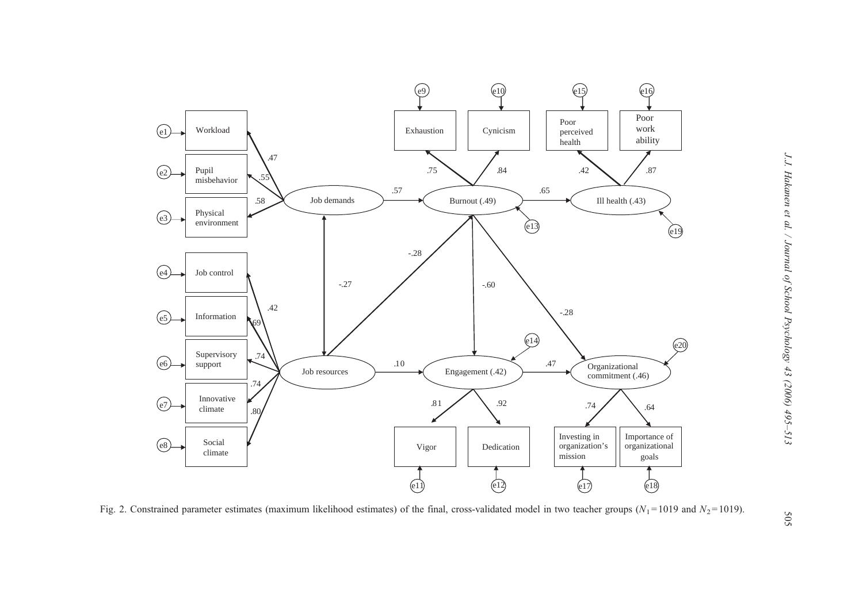<span id="page-10-0"></span>

Fig. 2. Constrained parameter estimates (maximum likelihood estimates) of the final, cross-validated model in two teacher groups ( $N_1$ = 1019 and  $N_2$ = 1019).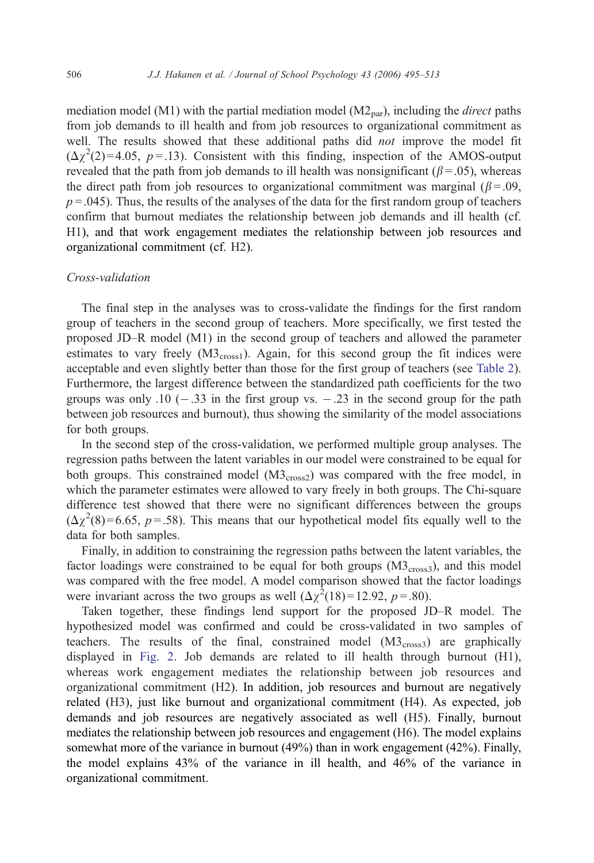mediation model (M1) with the partial mediation model ( $M2<sub>par</sub>$ ), including the *direct* paths from job demands to ill health and from job resources to organizational commitment as well. The results showed that these additional paths did *not* improve the model fit  $(\Delta \chi^2(2)=4.05, p=.13)$ . Consistent with this finding, inspection of the AMOS-output revealed that the path from job demands to ill health was nonsignificant ( $\beta$  = .05), whereas the direct path from job resources to organizational commitment was marginal ( $\beta$  = .09,  $p = .045$ ). Thus, the results of the analyses of the data for the first random group of teachers confirm that burnout mediates the relationship between job demands and ill health (cf. H1), and that work engagement mediates the relationship between job resources and organizational commitment (cf. H2).

### Cross-validation

The final step in the analyses was to cross-validate the findings for the first random group of teachers in the second group of teachers. More specifically, we first tested the proposed JD–R model (M1) in the second group of teachers and allowed the parameter estimates to vary freely  $(M3_{cross1})$ . Again, for this second group the fit indices were acceptable and even slightly better than those for the first group of teachers (see [Table 2\)](#page-9-0). Furthermore, the largest difference between the standardized path coefficients for the two groups was only  $.10$  ( $-.33$  in the first group vs.  $-.23$  in the second group for the path between job resources and burnout), thus showing the similarity of the model associations for both groups.

In the second step of the cross-validation, we performed multiple group analyses. The regression paths between the latent variables in our model were constrained to be equal for both groups. This constrained model  $(M3_{cross2})$  was compared with the free model, in which the parameter estimates were allowed to vary freely in both groups. The Chi-square difference test showed that there were no significant differences between the groups  $(\Delta \chi^2(8) = 6.65, p = .58)$ . This means that our hypothetical model fits equally well to the data for both samples.

Finally, in addition to constraining the regression paths between the latent variables, the factor loadings were constrained to be equal for both groups  $(M3<sub>cross3</sub>)$ , and this model was compared with the free model. A model comparison showed that the factor loadings were invariant across the two groups as well  $(\Delta \chi^2(18) = 12.92, p = .80)$ .

Taken together, these findings lend support for the proposed JD–R model. The hypothesized model was confirmed and could be cross-validated in two samples of teachers. The results of the final, constrained model  $(M3<sub>cross3</sub>)$  are graphically displayed in [Fig. 2.](#page-10-0) Job demands are related to ill health through burnout (H1), whereas work engagement mediates the relationship between job resources and organizational commitment (H2). In addition, job resources and burnout are negatively related (H3), just like burnout and organizational commitment (H4). As expected, job demands and job resources are negatively associated as well (H5). Finally, burnout mediates the relationship between job resources and engagement (H6). The model explains somewhat more of the variance in burnout (49%) than in work engagement (42%). Finally, the model explains 43% of the variance in ill health, and 46% of the variance in organizational commitment.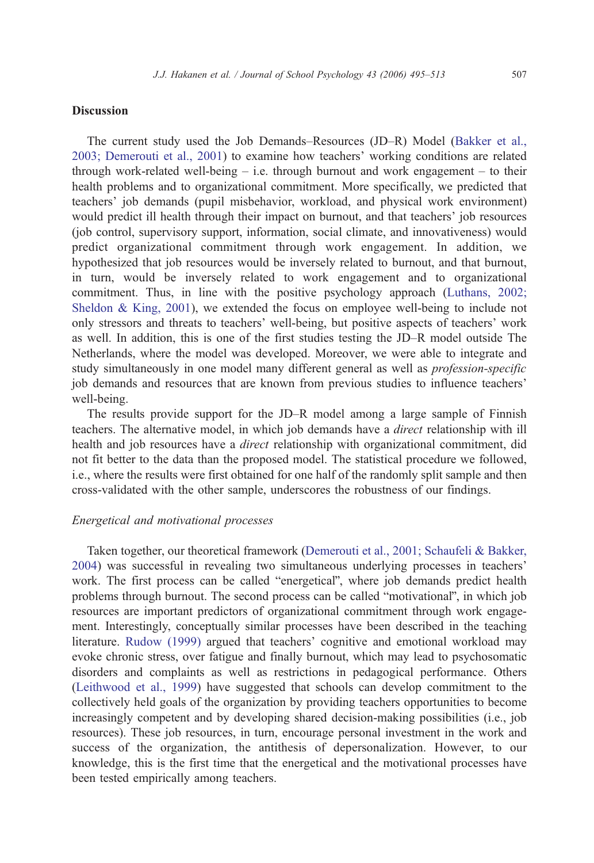# **Discussion**

The current study used the Job Demands–Resources (JD–R) Model ([Bakker et al.,](#page-15-0) 2003; Demerouti et al., 2001) to examine how teachers' working conditions are related through work-related well-being  $-$  i.e. through burnout and work engagement  $-$  to their health problems and to organizational commitment. More specifically, we predicted that teachers' job demands (pupil misbehavior, workload, and physical work environment) would predict ill health through their impact on burnout, and that teachers' job resources (job control, supervisory support, information, social climate, and innovativeness) would predict organizational commitment through work engagement. In addition, we hypothesized that job resources would be inversely related to burnout, and that burnout, in turn, would be inversely related to work engagement and to organizational commitment. Thus, in line with the positive psychology approach ([Luthans, 2002;](#page-17-0) Sheldon & King, 2001), we extended the focus on employee well-being to include not only stressors and threats to teachers' well-being, but positive aspects of teachers' work as well. In addition, this is one of the first studies testing the JD–R model outside The Netherlands, where the model was developed. Moreover, we were able to integrate and study simultaneously in one model many different general as well as profession-specific job demands and resources that are known from previous studies to influence teachers' well-being.

The results provide support for the JD–R model among a large sample of Finnish teachers. The alternative model, in which job demands have a direct relationship with ill health and job resources have a direct relationship with organizational commitment, did not fit better to the data than the proposed model. The statistical procedure we followed, i.e., where the results were first obtained for one half of the randomly split sample and then cross-validated with the other sample, underscores the robustness of our findings.

### Energetical and motivational processes

Taken together, our theoretical framework ([Demerouti et al., 2001; Schaufeli & Bakker,](#page-16-0) 2004) was successful in revealing two simultaneous underlying processes in teachers' work. The first process can be called "energetical", where job demands predict health problems through burnout. The second process can be called "motivational", in which job resources are important predictors of organizational commitment through work engagement. Interestingly, conceptually similar processes have been described in the teaching literature. [Rudow \(1999\)](#page-18-0) argued that teachers' cognitive and emotional workload may evoke chronic stress, over fatigue and finally burnout, which may lead to psychosomatic disorders and complaints as well as restrictions in pedagogical performance. Others ([Leithwood et al., 1999\)](#page-17-0) have suggested that schools can develop commitment to the collectively held goals of the organization by providing teachers opportunities to become increasingly competent and by developing shared decision-making possibilities (i.e., job resources). These job resources, in turn, encourage personal investment in the work and success of the organization, the antithesis of depersonalization. However, to our knowledge, this is the first time that the energetical and the motivational processes have been tested empirically among teachers.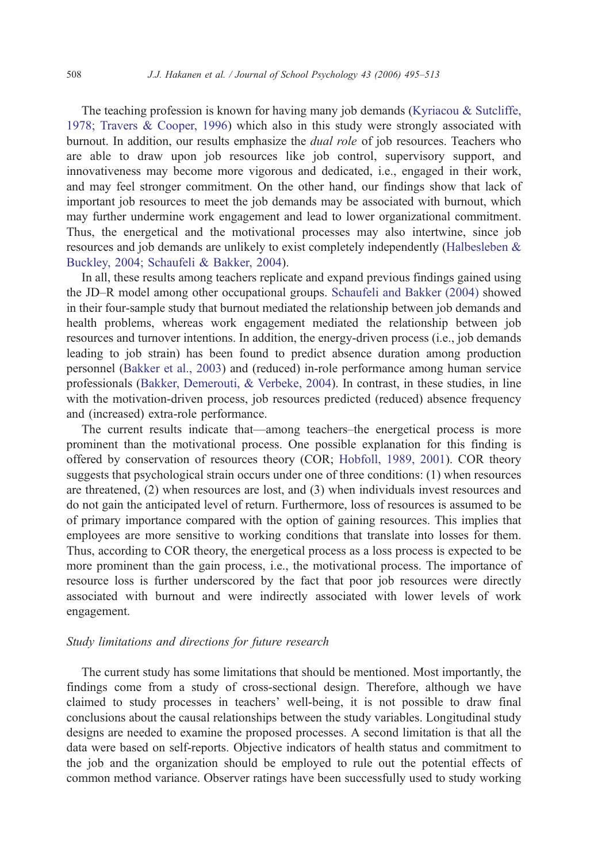The teaching profession is known for having many job demands ([Kyriacou & Sutcliffe,](#page-17-0) 1978; Travers & Cooper, 1996) which also in this study were strongly associated with burnout. In addition, our results emphasize the *dual role* of job resources. Teachers who are able to draw upon job resources like job control, supervisory support, and innovativeness may become more vigorous and dedicated, i.e., engaged in their work, and may feel stronger commitment. On the other hand, our findings show that lack of important job resources to meet the job demands may be associated with burnout, which may further undermine work engagement and lead to lower organizational commitment. Thus, the energetical and the motivational processes may also intertwine, since job resources and job demands are unlikely to exist completely independently ([Halbesleben &](#page-16-0) Buckley, 2004; Schaufeli & Bakker, 2004).

In all, these results among teachers replicate and expand previous findings gained using the JD–R model among other occupational groups. [Schaufeli and Bakker \(2004\)](#page-18-0) showed in their four-sample study that burnout mediated the relationship between job demands and health problems, whereas work engagement mediated the relationship between job resources and turnover intentions. In addition, the energy-driven process (i.e., job demands leading to job strain) has been found to predict absence duration among production personnel ([Bakker et al., 2003\)](#page-15-0) and (reduced) in-role performance among human service professionals ([Bakker, Demerouti, & Verbeke, 2004\)](#page-15-0). In contrast, in these studies, in line with the motivation-driven process, job resources predicted (reduced) absence frequency and (increased) extra-role performance.

The current results indicate that—among teachers–the energetical process is more prominent than the motivational process. One possible explanation for this finding is offered by conservation of resources theory (COR; [Hobfoll, 1989, 2001\)](#page-16-0). COR theory suggests that psychological strain occurs under one of three conditions: (1) when resources are threatened, (2) when resources are lost, and (3) when individuals invest resources and do not gain the anticipated level of return. Furthermore, loss of resources is assumed to be of primary importance compared with the option of gaining resources. This implies that employees are more sensitive to working conditions that translate into losses for them. Thus, according to COR theory, the energetical process as a loss process is expected to be more prominent than the gain process, i.e., the motivational process. The importance of resource loss is further underscored by the fact that poor job resources were directly associated with burnout and were indirectly associated with lower levels of work engagement.

### Study limitations and directions for future research

The current study has some limitations that should be mentioned. Most importantly, the findings come from a study of cross-sectional design. Therefore, although we have claimed to study processes in teachers' well-being, it is not possible to draw final conclusions about the causal relationships between the study variables. Longitudinal study designs are needed to examine the proposed processes. A second limitation is that all the data were based on self-reports. Objective indicators of health status and commitment to the job and the organization should be employed to rule out the potential effects of common method variance. Observer ratings have been successfully used to study working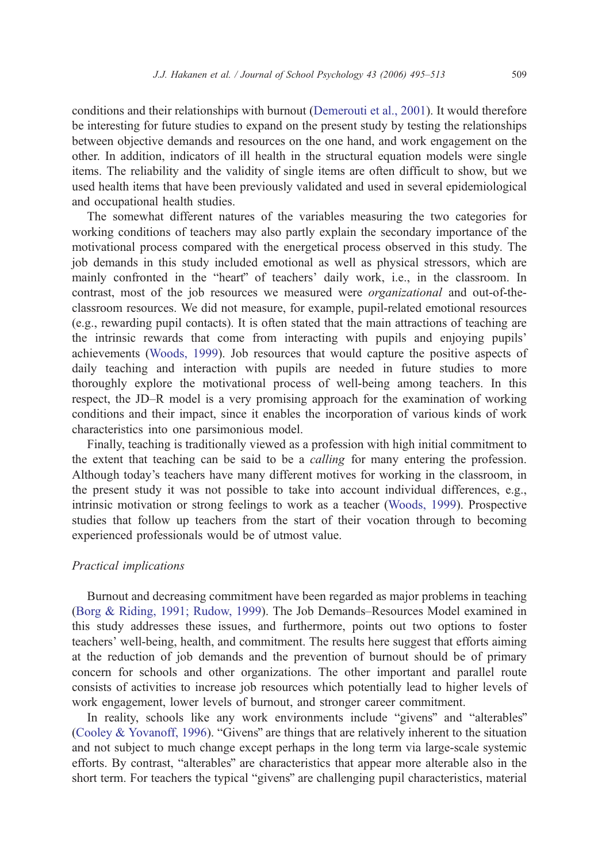conditions and their relationships with burnout ([Demerouti et al., 2001\)](#page-16-0). It would therefore be interesting for future studies to expand on the present study by testing the relationships between objective demands and resources on the one hand, and work engagement on the other. In addition, indicators of ill health in the structural equation models were single items. The reliability and the validity of single items are often difficult to show, but we used health items that have been previously validated and used in several epidemiological and occupational health studies.

The somewhat different natures of the variables measuring the two categories for working conditions of teachers may also partly explain the secondary importance of the motivational process compared with the energetical process observed in this study. The job demands in this study included emotional as well as physical stressors, which are mainly confronted in the "heart" of teachers' daily work, i.e., in the classroom. In contrast, most of the job resources we measured were *organizational* and out-of-theclassroom resources. We did not measure, for example, pupil-related emotional resources (e.g., rewarding pupil contacts). It is often stated that the main attractions of teaching are the intrinsic rewards that come from interacting with pupils and enjoying pupils' achievements ([Woods, 1999\)](#page-18-0). Job resources that would capture the positive aspects of daily teaching and interaction with pupils are needed in future studies to more thoroughly explore the motivational process of well-being among teachers. In this respect, the JD–R model is a very promising approach for the examination of working conditions and their impact, since it enables the incorporation of various kinds of work characteristics into one parsimonious model.

Finally, teaching is traditionally viewed as a profession with high initial commitment to the extent that teaching can be said to be a *calling* for many entering the profession. Although today's teachers have many different motives for working in the classroom, in the present study it was not possible to take into account individual differences, e.g., intrinsic motivation or strong feelings to work as a teacher ([Woods, 1999\)](#page-18-0). Prospective studies that follow up teachers from the start of their vocation through to becoming experienced professionals would be of utmost value.

#### Practical implications

Burnout and decreasing commitment have been regarded as major problems in teaching ([Borg & Riding, 1991; Rudow, 1999\)](#page-16-0). The Job Demands–Resources Model examined in this study addresses these issues, and furthermore, points out two options to foster teachers' well-being, health, and commitment. The results here suggest that efforts aiming at the reduction of job demands and the prevention of burnout should be of primary concern for schools and other organizations. The other important and parallel route consists of activities to increase job resources which potentially lead to higher levels of work engagement, lower levels of burnout, and stronger career commitment.

In reality, schools like any work environments include "givens" and "alterables" ([Cooley & Yovanoff, 1996\)](#page-16-0). "Givens" are things that are relatively inherent to the situation and not subject to much change except perhaps in the long term via large-scale systemic efforts. By contrast, "alterables" are characteristics that appear more alterable also in the short term. For teachers the typical "givens" are challenging pupil characteristics, material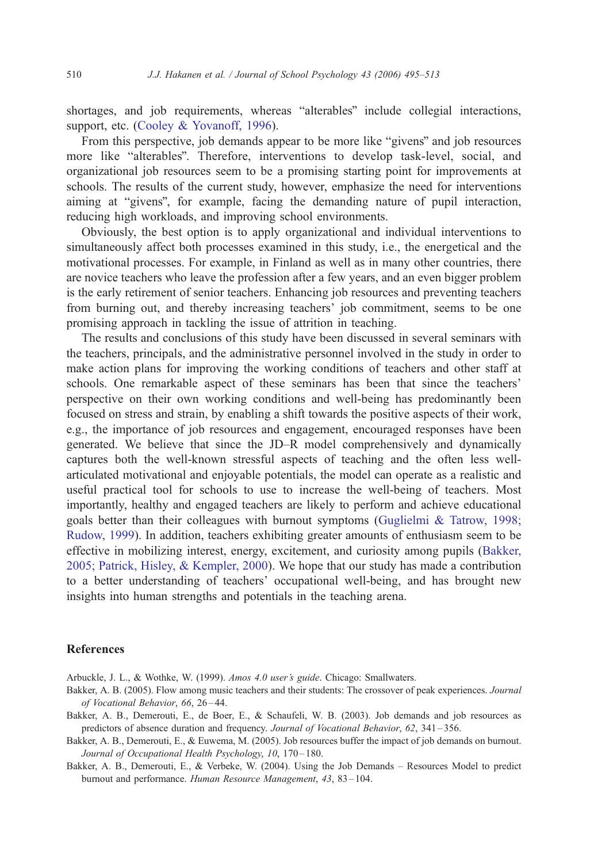<span id="page-15-0"></span>shortages, and job requirements, whereas "alterables" include collegial interactions, support, etc. ([Cooley & Yovanoff, 1996\)](#page-16-0).

From this perspective, job demands appear to be more like "givens" and job resources more like "alterables". Therefore, interventions to develop task-level, social, and organizational job resources seem to be a promising starting point for improvements at schools. The results of the current study, however, emphasize the need for interventions aiming at "givens", for example, facing the demanding nature of pupil interaction, reducing high workloads, and improving school environments.

Obviously, the best option is to apply organizational and individual interventions to simultaneously affect both processes examined in this study, i.e., the energetical and the motivational processes. For example, in Finland as well as in many other countries, there are novice teachers who leave the profession after a few years, and an even bigger problem is the early retirement of senior teachers. Enhancing job resources and preventing teachers from burning out, and thereby increasing teachers' job commitment, seems to be one promising approach in tackling the issue of attrition in teaching.

The results and conclusions of this study have been discussed in several seminars with the teachers, principals, and the administrative personnel involved in the study in order to make action plans for improving the working conditions of teachers and other staff at schools. One remarkable aspect of these seminars has been that since the teachers' perspective on their own working conditions and well-being has predominantly been focused on stress and strain, by enabling a shift towards the positive aspects of their work, e.g., the importance of job resources and engagement, encouraged responses have been generated. We believe that since the JD–R model comprehensively and dynamically captures both the well-known stressful aspects of teaching and the often less wellarticulated motivational and enjoyable potentials, the model can operate as a realistic and useful practical tool for schools to use to increase the well-being of teachers. Most importantly, healthy and engaged teachers are likely to perform and achieve educational goals better than their colleagues with burnout symptoms ([Guglielmi & Tatrow, 1998;](#page-16-0) Rudow, 1999). In addition, teachers exhibiting greater amounts of enthusiasm seem to be effective in mobilizing interest, energy, excitement, and curiosity among pupils (Bakker, 2005; Patrick, Hisley, & Kempler, 2000). We hope that our study has made a contribution to a better understanding of teachers' occupational well-being, and has brought new insights into human strengths and potentials in the teaching arena.

# References

Arbuckle, J. L., & Wothke, W. (1999). Amos 4.0 user's guide. Chicago: Smallwaters.

- Bakker, A. B. (2005). Flow among music teachers and their students: The crossover of peak experiences. Journal of Vocational Behavior, 66, 26 – 44.
- Bakker, A. B., Demerouti, E., de Boer, E., & Schaufeli, W. B. (2003). Job demands and job resources as predictors of absence duration and frequency. Journal of Vocational Behavior, 62, 341 – 356.
- Bakker, A. B., Demerouti, E., & Euwema, M. (2005). Job resources buffer the impact of job demands on burnout. Journal of Occupational Health Psychology, 10, 170-180.
- Bakker, A. B., Demerouti, E., & Verbeke, W. (2004). Using the Job Demands Resources Model to predict burnout and performance. Human Resource Management, 43, 83 – 104.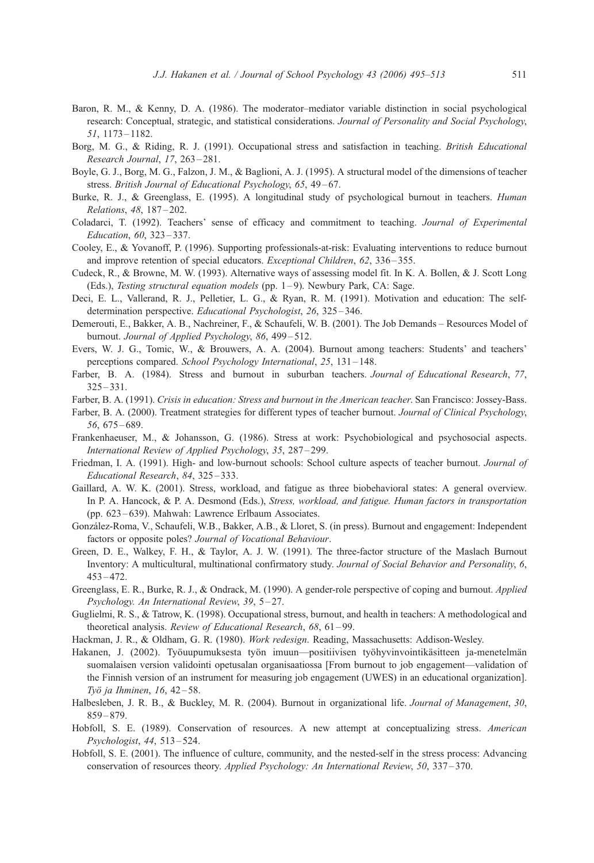- <span id="page-16-0"></span>Baron, R. M., & Kenny, D. A. (1986). The moderator–mediator variable distinction in social psychological research: Conceptual, strategic, and statistical considerations. Journal of Personality and Social Psychology, 51, 1173 – 1182.
- Borg, M. G., & Riding, R. J. (1991). Occupational stress and satisfaction in teaching. British Educational Research Journal, 17, 263 – 281.
- Boyle, G. J., Borg, M. G., Falzon, J. M., & Baglioni, A. J. (1995). A structural model of the dimensions of teacher stress. British Journal of Educational Psychology, 65, 49-67.
- Burke, R. J., & Greenglass, E. (1995). A longitudinal study of psychological burnout in teachers. Human Relations, 48, 187 – 202.
- Coladarci, T. (1992). Teachers' sense of efficacy and commitment to teaching. Journal of Experimental Education, 60, 323 – 337.
- Cooley, E., & Yovanoff, P. (1996). Supporting professionals-at-risk: Evaluating interventions to reduce burnout and improve retention of special educators. Exceptional Children, 62, 336–355.
- Cudeck, R., & Browne, M. W. (1993). Alternative ways of assessing model fit. In K. A. Bollen, & J. Scott Long (Eds.), Testing structural equation models (pp. 1-9). Newbury Park, CA: Sage.
- Deci, E. L., Vallerand, R. J., Pelletier, L. G., & Ryan, R. M. (1991). Motivation and education: The selfdetermination perspective. Educational Psychologist, 26, 325-346.
- Demerouti, E., Bakker, A. B., Nachreiner, F., & Schaufeli, W. B. (2001). The Job Demands Resources Model of burnout. Journal of Applied Psychology, 86, 499-512.
- Evers, W. J. G., Tomic, W., & Brouwers, A. A. (2004). Burnout among teachers: Students' and teachers' perceptions compared. School Psychology International, 25, 131-148.
- Farber, B. A. (1984). Stress and burnout in suburban teachers. Journal of Educational Research, 77,  $325 - 331.$
- Farber, B. A. (1991). Crisis in education: Stress and burnout in the American teacher. San Francisco: Jossey-Bass.
- Farber, B. A. (2000). Treatment strategies for different types of teacher burnout. Journal of Clinical Psychology, 56, 675 – 689.
- Frankenhaeuser, M., & Johansson, G. (1986). Stress at work: Psychobiological and psychosocial aspects. International Review of Applied Psychology, 35, 287 – 299.
- Friedman, I. A. (1991). High- and low-burnout schools: School culture aspects of teacher burnout. Journal of Educational Research, 84, 325-333.
- Gaillard, A. W. K. (2001). Stress, workload, and fatigue as three biobehavioral states: A general overview. In P. A. Hancock, & P. A. Desmond (Eds.), Stress, workload, and fatigue. Human factors in transportation (pp. 623–639). Mahwah: Lawrence Erlbaum Associates.
- González-Roma, V., Schaufeli, W.B., Bakker, A.B., & Lloret, S. (in press). Burnout and engagement: Independent factors or opposite poles? Journal of Vocational Behaviour.
- Green, D. E., Walkey, F. H., & Taylor, A. J. W. (1991). The three-factor structure of the Maslach Burnout Inventory: A multicultural, multinational confirmatory study. Journal of Social Behavior and Personality, 6,  $453 - 472.$
- Greenglass, E. R., Burke, R. J., & Ondrack, M. (1990). A gender-role perspective of coping and burnout. Applied Psychology. An International Review, 39, 5-27.
- Guglielmi, R. S., & Tatrow, K. (1998). Occupational stress, burnout, and health in teachers: A methodological and theoretical analysis. Review of Educational Research, 68, 61-99.
- Hackman, J. R., & Oldham, G. R. (1980). Work redesign. Reading, Massachusetts: Addison-Wesley.
- Hakanen, J. (2002). Työuupumuksesta työn imuun—positiivisen työhyvinvointikäsitteen ja-menetelmän suomalaisen version validointi opetusalan organisaatiossa [From burnout to job engagement—validation of the Finnish version of an instrument for measuring job engagement (UWES) in an educational organization]. Työ ja Ihminen, 16, 42–58.
- Halbesleben, J. R. B., & Buckley, M. R. (2004). Burnout in organizational life. Journal of Management, 30, 859 – 879.
- Hobfoll, S. E. (1989). Conservation of resources. A new attempt at conceptualizing stress. American Psychologist, 44, 513 – 524.
- Hobfoll, S. E. (2001). The influence of culture, community, and the nested-self in the stress process: Advancing conservation of resources theory. Applied Psychology: An International Review, 50, 337-370.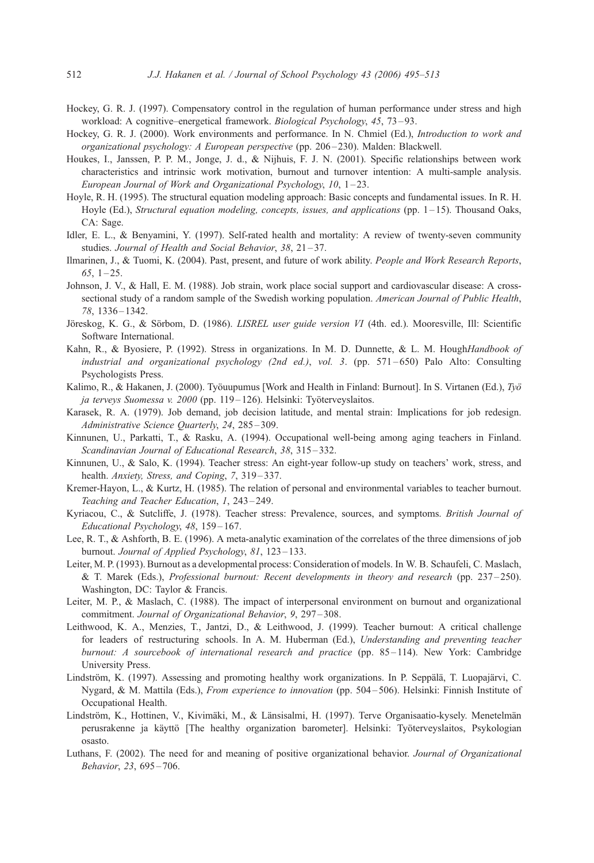- <span id="page-17-0"></span>Hockey, G. R. J. (1997). Compensatory control in the regulation of human performance under stress and high workload: A cognitive–energetical framework. Biological Psychology, 45, 73 – 93.
- Hockey, G. R. J. (2000). Work environments and performance. In N. Chmiel (Ed.), Introduction to work and organizational psychology: A European perspective (pp. 206-230). Malden: Blackwell.
- Houkes, I., Janssen, P. P. M., Jonge, J. d., & Nijhuis, F. J. N. (2001). Specific relationships between work characteristics and intrinsic work motivation, burnout and turnover intention: A multi-sample analysis. European Journal of Work and Organizational Psychology, 10, 1 – 23.
- Hoyle, R. H. (1995). The structural equation modeling approach: Basic concepts and fundamental issues. In R. H. Hoyle (Ed.), Structural equation modeling, concepts, issues, and applications (pp.  $1-15$ ). Thousand Oaks, CA: Sage.
- Idler, E. L., & Benyamini, Y. (1997). Self-rated health and mortality: A review of twenty-seven community studies. Journal of Health and Social Behavior, 38, 21-37.
- Ilmarinen, J., & Tuomi, K. (2004). Past, present, and future of work ability. People and Work Research Reports,  $65, 1 - 25.$
- Johnson, J. V., & Hall, E. M. (1988). Job strain, work place social support and cardiovascular disease: A crosssectional study of a random sample of the Swedish working population. American Journal of Public Health, 78, 1336 – 1342.
- Jöreskog, K. G., & Sörbom, D. (1986). LISREL user guide version VI (4th. ed.). Mooresville, Ill: Scientific Software International.
- Kahn, R., & Byosiere, P. (1992). Stress in organizations. In M. D. Dunnette, & L. M. HoughHandbook of industrial and organizational psychology (2nd ed.), vol. 3. (pp. 571-650) Palo Alto: Consulting Psychologists Press.
- Kalimo, R., & Hakanen, J. (2000). Työuupumus [Work and Health in Finland: Burnout]. In S. Virtanen (Ed.), Työ ja terveys Suomessa v. 2000 (pp. 119 – 126). Helsinki: Työterveyslaitos.
- Karasek, R. A. (1979). Job demand, job decision latitude, and mental strain: Implications for job redesign. Administrative Science Quarterly, 24, 285-309.
- Kinnunen, U., Parkatti, T., & Rasku, A. (1994). Occupational well-being among aging teachers in Finland. Scandinavian Journal of Educational Research, 38, 315 – 332.
- Kinnunen, U., & Salo, K. (1994). Teacher stress: An eight-year follow-up study on teachers' work, stress, and health. Anxiety, Stress, and Coping, 7, 319-337.
- Kremer-Hayon, L., & Kurtz, H. (1985). The relation of personal and environmental variables to teacher burnout. Teaching and Teacher Education, 1, 243 – 249.
- Kyriacou, C., & Sutcliffe, J. (1978). Teacher stress: Prevalence, sources, and symptoms. British Journal of Educational Psychology, 48, 159 – 167.
- Lee, R. T., & Ashforth, B. E. (1996). A meta-analytic examination of the correlates of the three dimensions of job burnout. Journal of Applied Psychology, 81, 123-133.
- Leiter, M. P. (1993). Burnout as a developmental process: Consideration of models. In W. B. Schaufeli, C. Maslach, & T. Marek (Eds.), Professional burnout: Recent developments in theory and research (pp. 237 – 250). Washington, DC: Taylor & Francis.
- Leiter, M. P., & Maslach, C. (1988). The impact of interpersonal environment on burnout and organizational commitment. Journal of Organizational Behavior, 9, 297 – 308.
- Leithwood, K. A., Menzies, T., Jantzi, D., & Leithwood, J. (1999). Teacher burnout: A critical challenge for leaders of restructuring schools. In A. M. Huberman (Ed.), Understanding and preventing teacher burnout: A sourcebook of international research and practice (pp.  $85-114$ ). New York: Cambridge University Press.
- Lindström, K. (1997). Assessing and promoting healthy work organizations. In P. Seppälä, T. Luopajärvi, C. Nygard, & M. Mattila (Eds.), *From experience to innovation* (pp. 504–506). Helsinki: Finnish Institute of Occupational Health.
- Lindström, K., Hottinen, V., Kivimäki, M., & Länsisalmi, H. (1997). Terve Organisaatio-kysely. Menetelmän perusrakenne ja käyttö [The healthy organization barometer]. Helsinki: Työterveyslaitos, Psykologian osasto.
- Luthans, F. (2002). The need for and meaning of positive organizational behavior. Journal of Organizational Behavior, 23, 695 – 706.